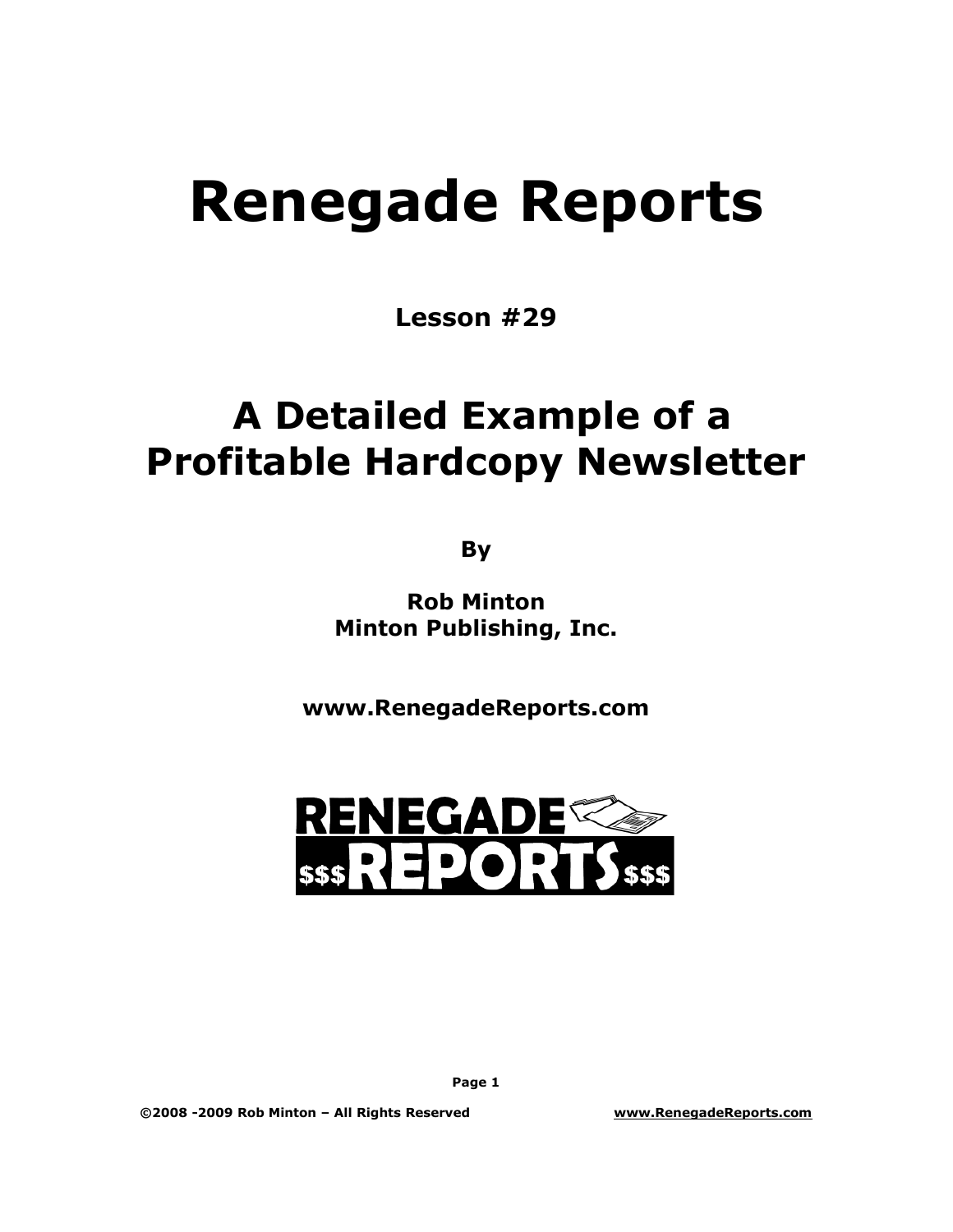# **Renegade Reports**

**Lesson #29**

## **A Detailed Example of a Profitable Hardcopy Newsletter**

**By**

**Rob Minton Minton Publishing, Inc.**

**www.RenegadeReports.com**



**Page 1**

**©2008 -2009 Rob Minton – All Rights Reserved www.RenegadeReports.com**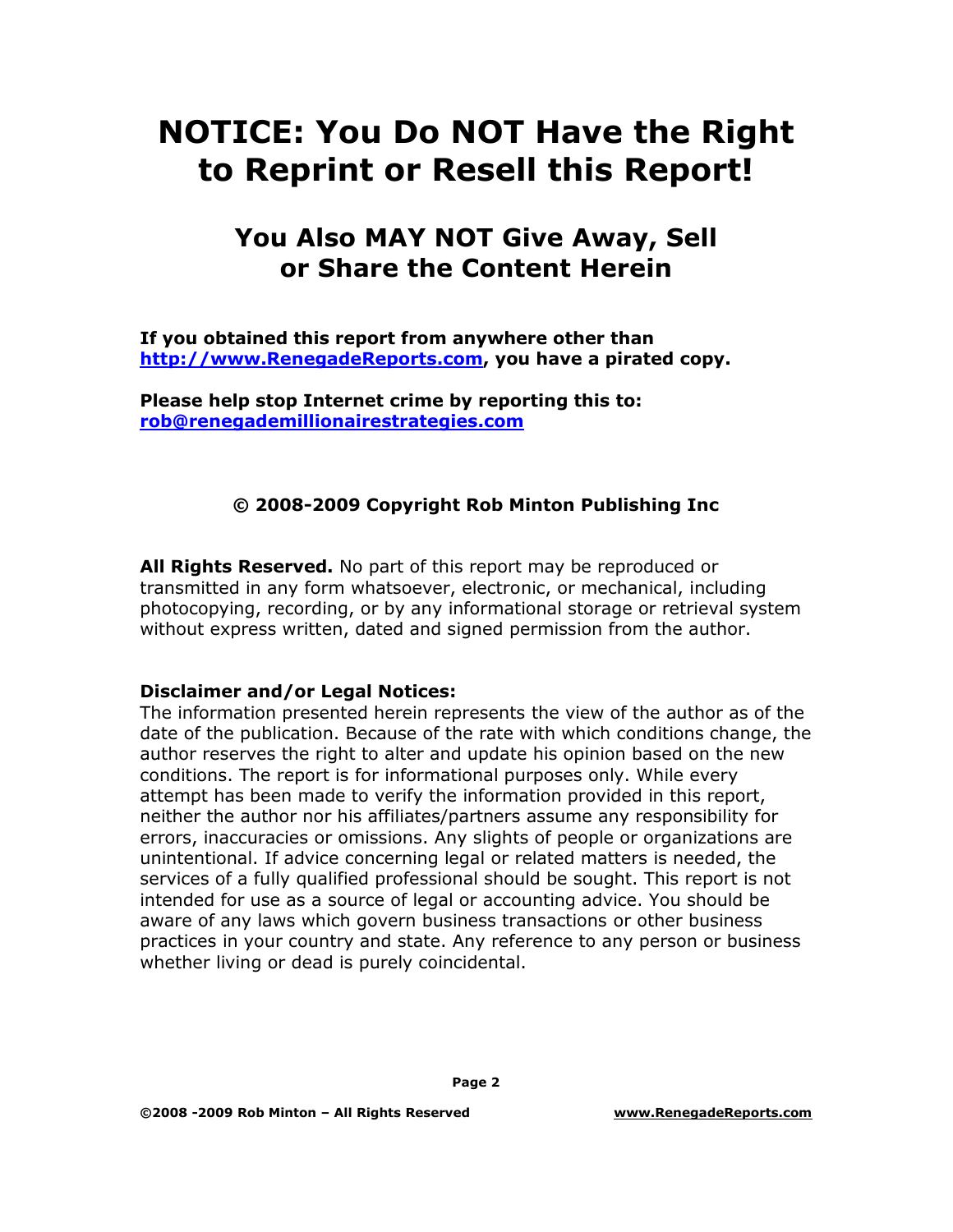### **NOTICE: You Do NOT Have the Right to Reprint or Resell this Report!**

### **You Also MAY NOT Give Away, Sell or Share the Content Herein**

**If you obtained this report from anywhere other than [http://www.RenegadeReports.com](http://www.renegadereports.com/), you have a pirated copy.**

**Please help stop Internet crime by reporting this to: [rob@renegademillionairestrategies.com](mailto:rob@renegademillionairestrategies.com)**

#### **© 2008-2009 Copyright Rob Minton Publishing Inc**

**All Rights Reserved.** No part of this report may be reproduced or transmitted in any form whatsoever, electronic, or mechanical, including photocopying, recording, or by any informational storage or retrieval system without express written, dated and signed permission from the author.

#### **Disclaimer and/or Legal Notices:**

The information presented herein represents the view of the author as of the date of the publication. Because of the rate with which conditions change, the author reserves the right to alter and update his opinion based on the new conditions. The report is for informational purposes only. While every attempt has been made to verify the information provided in this report, neither the author nor his affiliates/partners assume any responsibility for errors, inaccuracies or omissions. Any slights of people or organizations are unintentional. If advice concerning legal or related matters is needed, the services of a fully qualified professional should be sought. This report is not intended for use as a source of legal or accounting advice. You should be aware of any laws which govern business transactions or other business practices in your country and state. Any reference to any person or business whether living or dead is purely coincidental.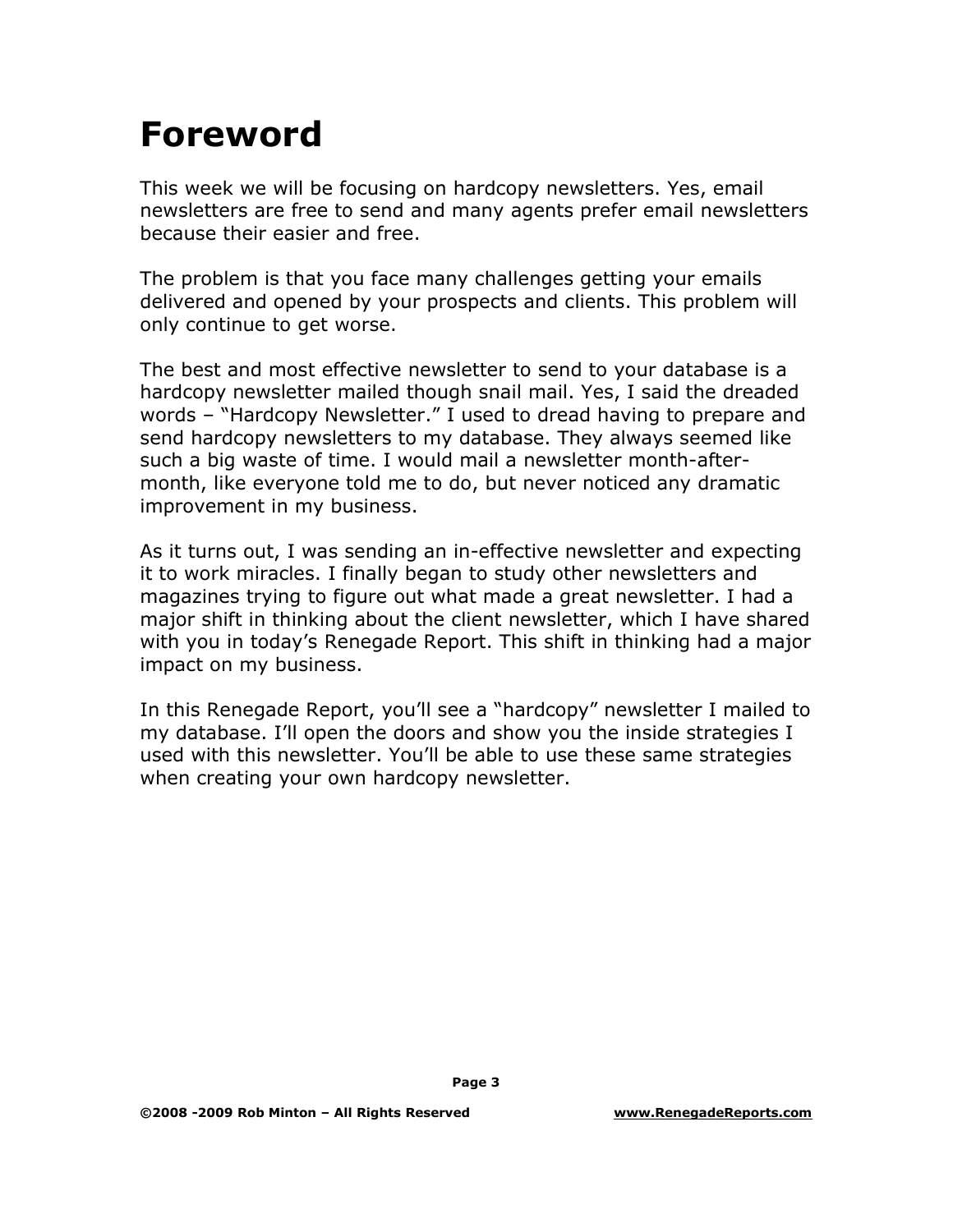## **Foreword**

This week we will be focusing on hardcopy newsletters. Yes, email newsletters are free to send and many agents prefer email newsletters because their easier and free.

The problem is that you face many challenges getting your emails delivered and opened by your prospects and clients. This problem will only continue to get worse.

The best and most effective newsletter to send to your database is a hardcopy newsletter mailed though snail mail. Yes, I said the dreaded words – "Hardcopy Newsletter." I used to dread having to prepare and send hardcopy newsletters to my database. They always seemed like such a big waste of time. I would mail a newsletter month-aftermonth, like everyone told me to do, but never noticed any dramatic improvement in my business.

As it turns out, I was sending an in-effective newsletter and expecting it to work miracles. I finally began to study other newsletters and magazines trying to figure out what made a great newsletter. I had a major shift in thinking about the client newsletter, which I have shared with you in today's Renegade Report. This shift in thinking had a major impact on my business.

In this Renegade Report, you'll see a "hardcopy" newsletter I mailed to my database. I'll open the doors and show you the inside strategies I used with this newsletter. You'll be able to use these same strategies when creating your own hardcopy newsletter.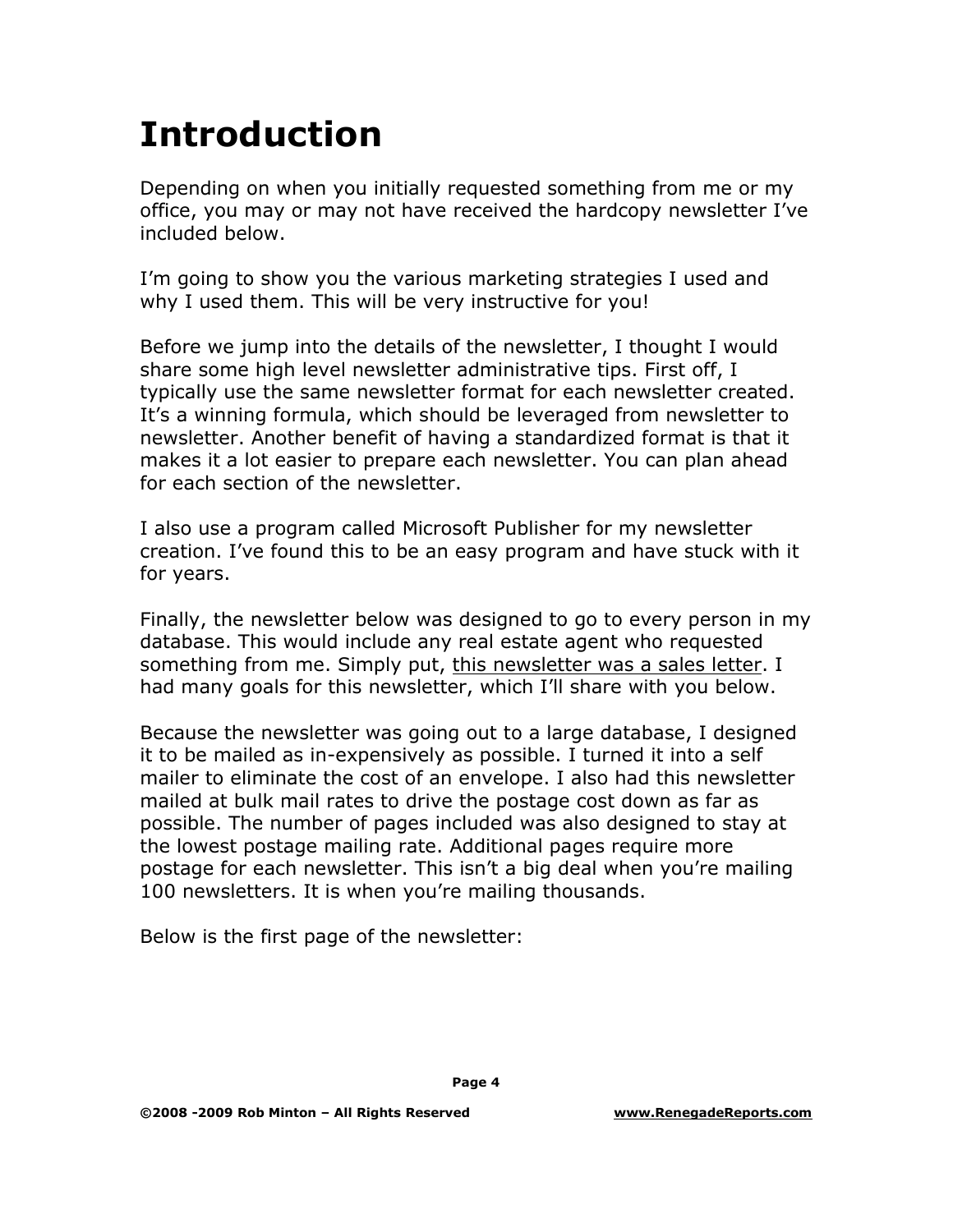## **Introduction**

Depending on when you initially requested something from me or my office, you may or may not have received the hardcopy newsletter I've included below.

I'm going to show you the various marketing strategies I used and why I used them. This will be very instructive for you!

Before we jump into the details of the newsletter, I thought I would share some high level newsletter administrative tips. First off, I typically use the same newsletter format for each newsletter created. It's a winning formula, which should be leveraged from newsletter to newsletter. Another benefit of having a standardized format is that it makes it a lot easier to prepare each newsletter. You can plan ahead for each section of the newsletter.

I also use a program called Microsoft Publisher for my newsletter creation. I've found this to be an easy program and have stuck with it for years.

Finally, the newsletter below was designed to go to every person in my database. This would include any real estate agent who requested something from me. Simply put, this newsletter was a sales letter. I had many goals for this newsletter, which I'll share with you below.

Because the newsletter was going out to a large database, I designed it to be mailed as in-expensively as possible. I turned it into a self mailer to eliminate the cost of an envelope. I also had this newsletter mailed at bulk mail rates to drive the postage cost down as far as possible. The number of pages included was also designed to stay at the lowest postage mailing rate. Additional pages require more postage for each newsletter. This isn't a big deal when you're mailing 100 newsletters. It is when you're mailing thousands.

Below is the first page of the newsletter: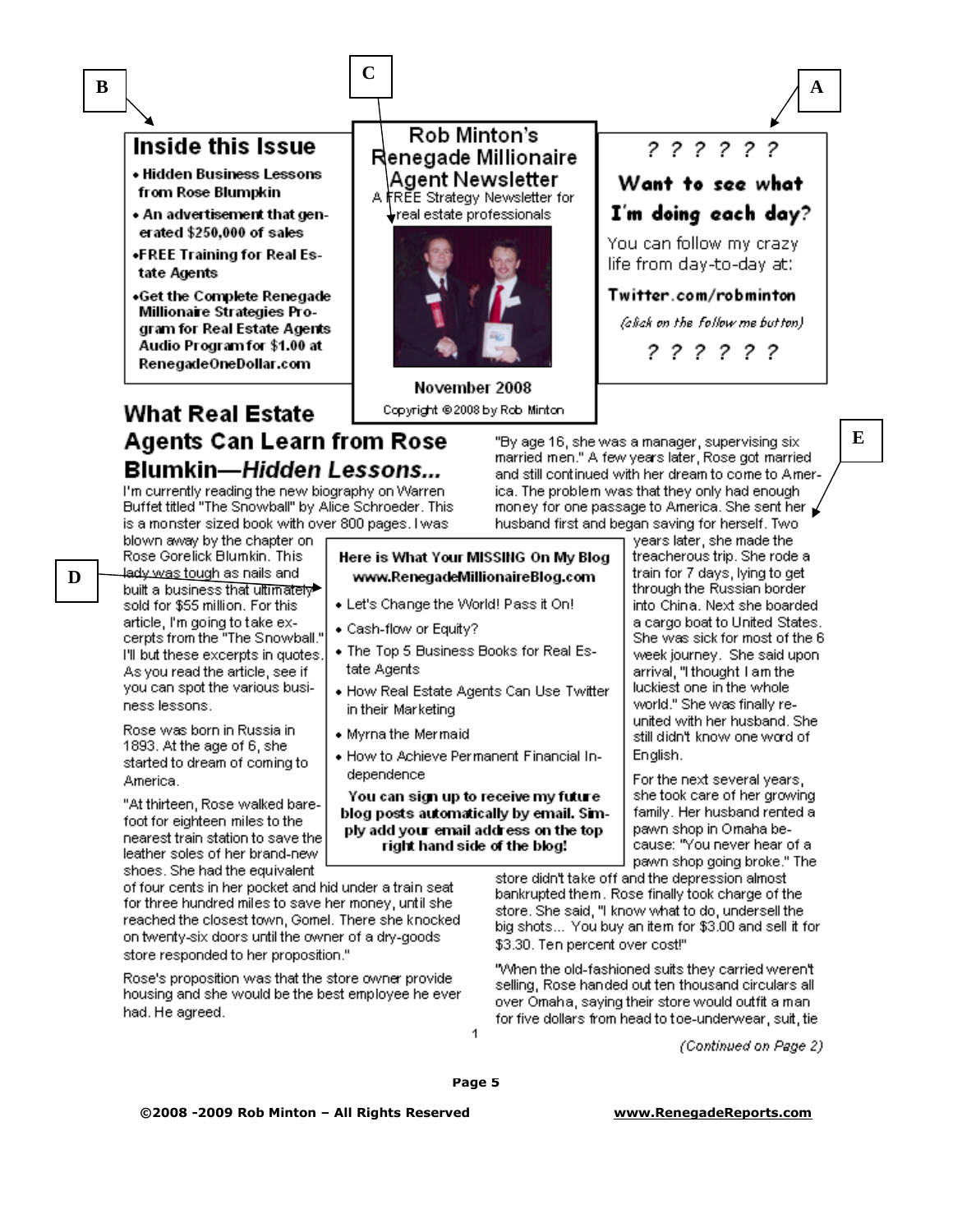### Inside this Issue

- Hidden Business Lessons from Rose Blumpkin
- An advertisement that generated \$250,000 of sales
- «FREE Training for Real Estate Agents
- .Get the Complete Renegade Millionaire Strategies Program for Real Estate Agents Audio Program for \$1.00 at RenegadeOneDollar.com

#### Rob Minton's Renegade Millionaire Agent Newsletter A FREE Strategy Newsletter for

real estate professionals



November 2008 Copyright @2008 by Rob Minton

### **What Real Estate** Agents Can Learn from Rose Blumkin—Hidden Lessons...

I'm currently reading the new biography on Warren-Buffet titled "The Snowball" by Alice Schroeder. This is a monster sized book with over 800 pages. I was

blown away by the chapter on Rose Gorelick Blumkin, This lady was tough as nails and built a business that ultimately sold for \$55 million. For this article, I'm going to take excerpts from the "The Snowball." I'll but these excerpts in quotes. As you read the article, see if you can spot the various business lessons.

Rose was born in Russia in 1893. At the age of 6, she started to dream of coming to America.

"At thirteen, Rose walked barefoot for eighteen miles to the nearest train station to save the leather soles of her brand-new shoes. She had the equivalent

of four cents in her pocket and hid under a train seat for three hundred miles to save her money, until she reached the closest town, Gomel. There she knocked on twenty-six doors until the owner of a dry-goods store responded to her proposition."

Rose's proposition was that the store owner provide housing and she would be the best employee he ever had. He agreed.

"By age 16, she was a manager, supervising six married men." A few years later, Rose got married and still continued with her dream to come to America. The problem was that they only had enough money for one passage to America. She sent her husband first and began saving for herself. Two

Here is What Your MISSING On My Blog www.RenegadeMillionaireBlog.com

- . Let's Change the World! Pass it On!
- Cash-flow or Equity?
- The Top 5 Business Books for Real Estate Agents
- How Real Estate Agents Can Use Twitter in their Marketing
- Myrna the Mermaid
- . How to Achieve Permanent Financial Independence

You can sign up to receive my future blog posts automatically by email. Simply add your email address on the top right hand side of the blog!

years later, she made the treacherous trip. She rode a train for 7 days, lying to get through the Russian border into China. Next she boarded a cargo boat to United States. She was sick for most of the 6 week journey. She said upon arrival, "I thought I am the luckiest one in the whole world." She was finally reunited with her husband. She still didn't know one word of English.

For the next several years, she took care of her growing family. Her husband rented a pawn shop in Omaha because: "You never hear of a pawn shop going broke." The

store didn't take off and the depression almost bankrupted them. Rose finally took charge of the store. She said, "I know what to do, undersell the big shots... You buy an item for \$3.00 and sell it for \$3.30. Ten percent over cost!"

"When the old-fashioned suits they carried weren't selling, Rose handed out ten thousand circulars all over Omaha, saying their store would outfit a manfor five dollars from head to toe-underwear, suit, tie

(Continued on Page 2)

1

#### www.RenegadeReports.com

D

 $\bf{B}$ 



 $\mathbf A$ 

E

C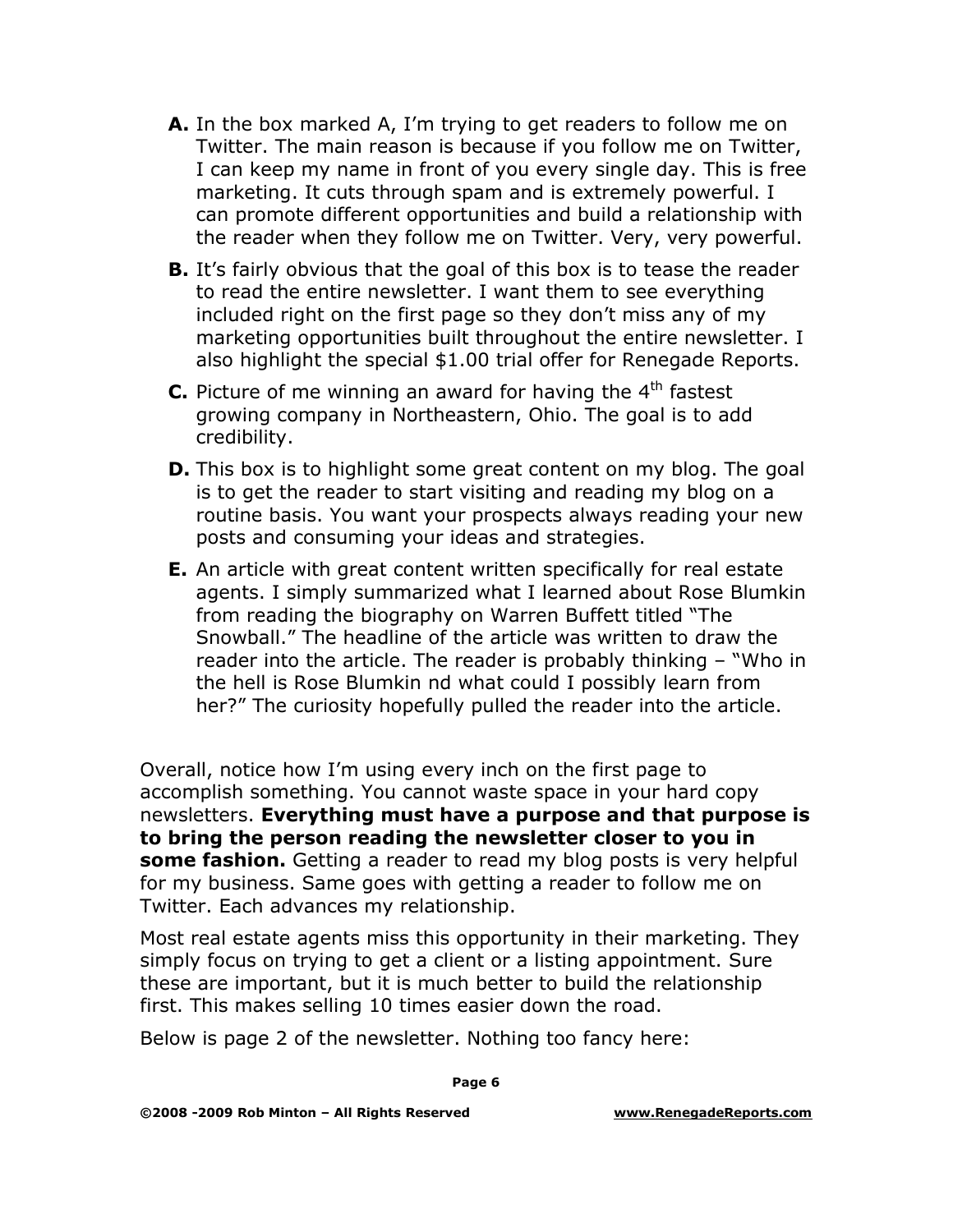- **A.** In the box marked A, I'm trying to get readers to follow me on Twitter. The main reason is because if you follow me on Twitter, I can keep my name in front of you every single day. This is free marketing. It cuts through spam and is extremely powerful. I can promote different opportunities and build a relationship with the reader when they follow me on Twitter. Very, very powerful.
- **B.** It's fairly obvious that the goal of this box is to tease the reader to read the entire newsletter. I want them to see everything included right on the first page so they don't miss any of my marketing opportunities built throughout the entire newsletter. I also highlight the special \$1.00 trial offer for Renegade Reports.
- **C.** Picture of me winning an award for having the  $4<sup>th</sup>$  fastest growing company in Northeastern, Ohio. The goal is to add credibility.
- **D.** This box is to highlight some great content on my blog. The goal is to get the reader to start visiting and reading my blog on a routine basis. You want your prospects always reading your new posts and consuming your ideas and strategies.
- **E.** An article with great content written specifically for real estate agents. I simply summarized what I learned about Rose Blumkin from reading the biography on Warren Buffett titled "The Snowball." The headline of the article was written to draw the reader into the article. The reader is probably thinking – "Who in the hell is Rose Blumkin nd what could I possibly learn from her?" The curiosity hopefully pulled the reader into the article.

Overall, notice how I'm using every inch on the first page to accomplish something. You cannot waste space in your hard copy newsletters. **Everything must have a purpose and that purpose is to bring the person reading the newsletter closer to you in some fashion.** Getting a reader to read my blog posts is very helpful for my business. Same goes with getting a reader to follow me on Twitter. Each advances my relationship.

Most real estate agents miss this opportunity in their marketing. They simply focus on trying to get a client or a listing appointment. Sure these are important, but it is much better to build the relationship first. This makes selling 10 times easier down the road.

Below is page 2 of the newsletter. Nothing too fancy here: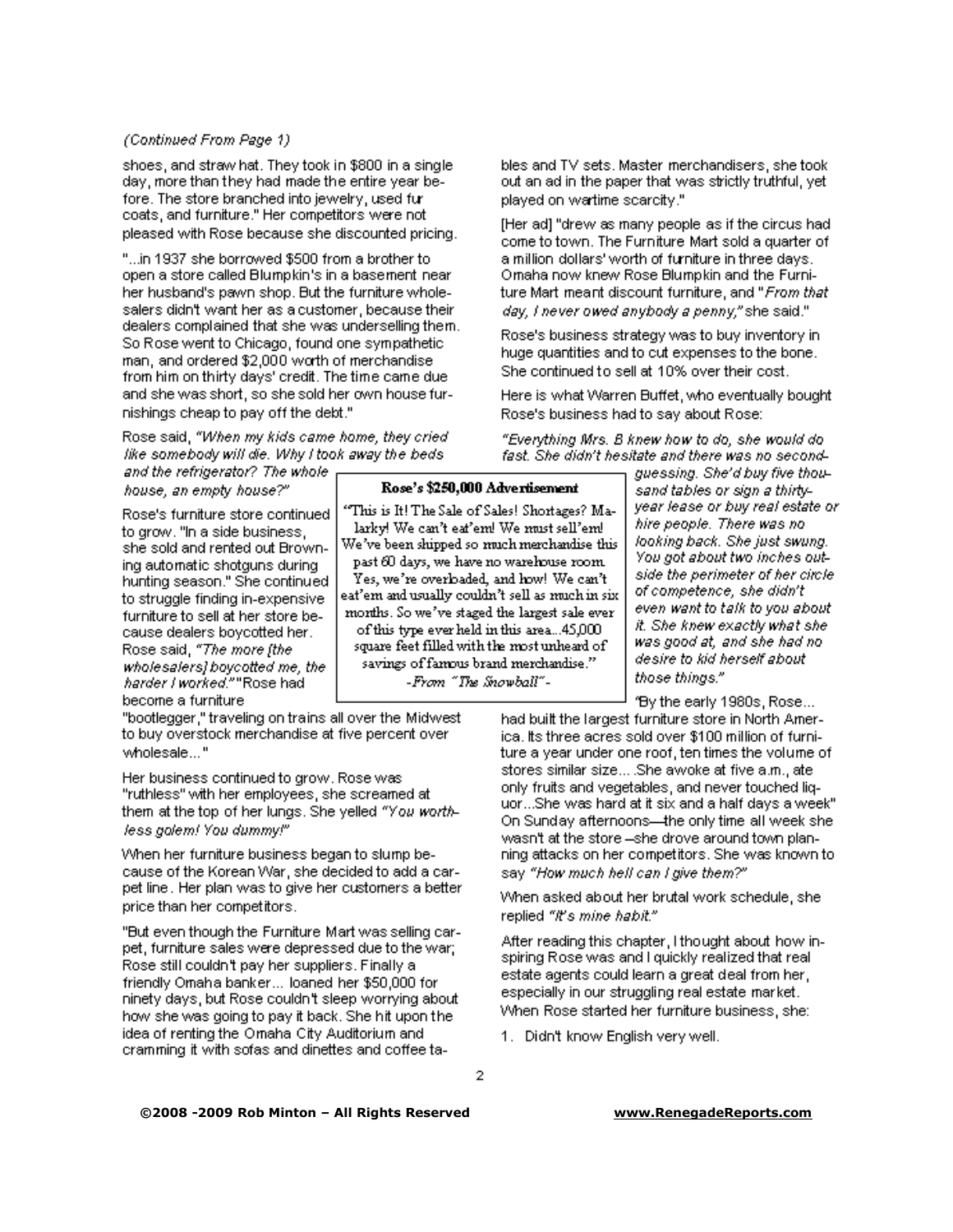#### (Continued From Page 1)

shoes, and straw hat. They took in \$800 in a single day, more than they had made the entire year before. The store branched into jewelry, used furcoats, and furniture." Her competitors were not pleased with Rose because she discounted pricing.

"...in 1937 she borrowed \$500 from a brother to open a store called Blumpkin's in a basement near her husband's pawn shop. But the furniture wholesalers didn't want her as a customer, because their dealers complained that she was underselling them. So Rose went to Chicago, found one sympathetic man, and ordered \$2,000 worth of merchandise from him on thirty days' credit. The time came due and she was short, so she sold her own house furnishings cheap to pay off the debt."

Rose said, "When my kids came home, they cried like somebody will die. Why I took away the beds

and the refrigerator? The whole house, an empty house?"

Rose's furniture store continued to grow. "In a side business, she sold and rented out Browning automatic shotguns during hunting season." She continued to struggle finding in-expensive furniture to sell at her store because dealers boycotted her. Rose said, "The more [the wholesalers] boycotted me, the harder I worked.""Rose had become a furniture

"bootlegger," traveling on trains all over the Midwest to buy overstock merchandise at five percent over wholesale..."

Her business continued to grow. Rose was "ruthless" with her employees, she screamed at them at the top of her lungs. She yelled "You worthless golem! You dummy!"

When her furniture business began to slump because of the Korean War, she decided to add a carpet line. Her plan was to give her customers a better price than her competitors.

"But even though the Furniture Mart was selling carpet, furniture sales were depressed due to the war; Rose still couldn't pay her suppliers. Finally a friendly Omaha banker... loaned her \$50,000 for ninety days, but Rose couldn't sleep worrying about how she was going to pay it back. She hit upon the idea of renting the Omaha City Auditorium and cramming it with sofas and dinettes and coffee tables and TV sets. Master merchandisers, she took. out an ad in the paper that was strictly truthful, yet i played on wartime scarcity."

[Her ad] "drew as many people as if the circus had come to town. The Furniture Mart sold a quarter of a million dollars' worth of furniture in three days. Omaha now knew Rose Blumpkin and the Furniture Mart meant discount furniture, and "*From that*" day, I never owed anybody a penny," she said."

Rose's business strategy was to buy inventory inhuge quantities and to cut expenses to the bone. She continued to sell at 10% over their cost.

Here is what Warren Buffet, who eventually bought Rose's business had to say about Rose:-

"Everything Mrs. B knew how to do, she would do fast. She didn't hesitate and there was no second-

#### Rose's \$250,000 Advertisement

"This is It! The Sale of Sales! Shortages? Malarky! We can't eat'em! We must sell'em! We've been shipped so much merchandise this past 60 days, we have no warehouse room. Yes, we're overloaded, and how! We can't eat'em and usually couldn't sell as much in six months. So we've staged the largest sale ever of this type ever held in this area...45,000 square feet filled with the most unheard of savings of famous brand merchandise." -From "The Snowball"-

quessing. She'd buy five thousand tables or sign a thirtyyear lease or buy real estate or hire people. There was no looking back. She just swung. You got about two inches outside the perimeter of her circle. of competence, she didn't even want to talk to you about it. She knew exactly what she was good at, and she had no desire to kid herself about those things."

"By the early 1980s, Rose... had built the largest furniture store in North America, its three acres sold over \$100 million of furniture a year under one roof, ten times the volume of stores similar size....She awoke at five a.m., ate only fruits and vegetables, and never touched liquor...She was hard at it six and a half days a week" On Sunday afternoons—the only time all week she wasn't at the store –she drove around town planning attacks on her competitors. She was known to say "How much hell can I give them?"

When asked about her brutal work schedule, she replied "It's mine habit."

After reading this chapter, I thought about how inspiring Rose was and I quickly realized that real estate agents could learn a great deal from her, especially in our struggling real estate market. When Rose started her furniture business, she:

1. Didn't know English very well.

 $\overline{2}$ 

©2008 -2009 Rob Minton - All Rights Reserved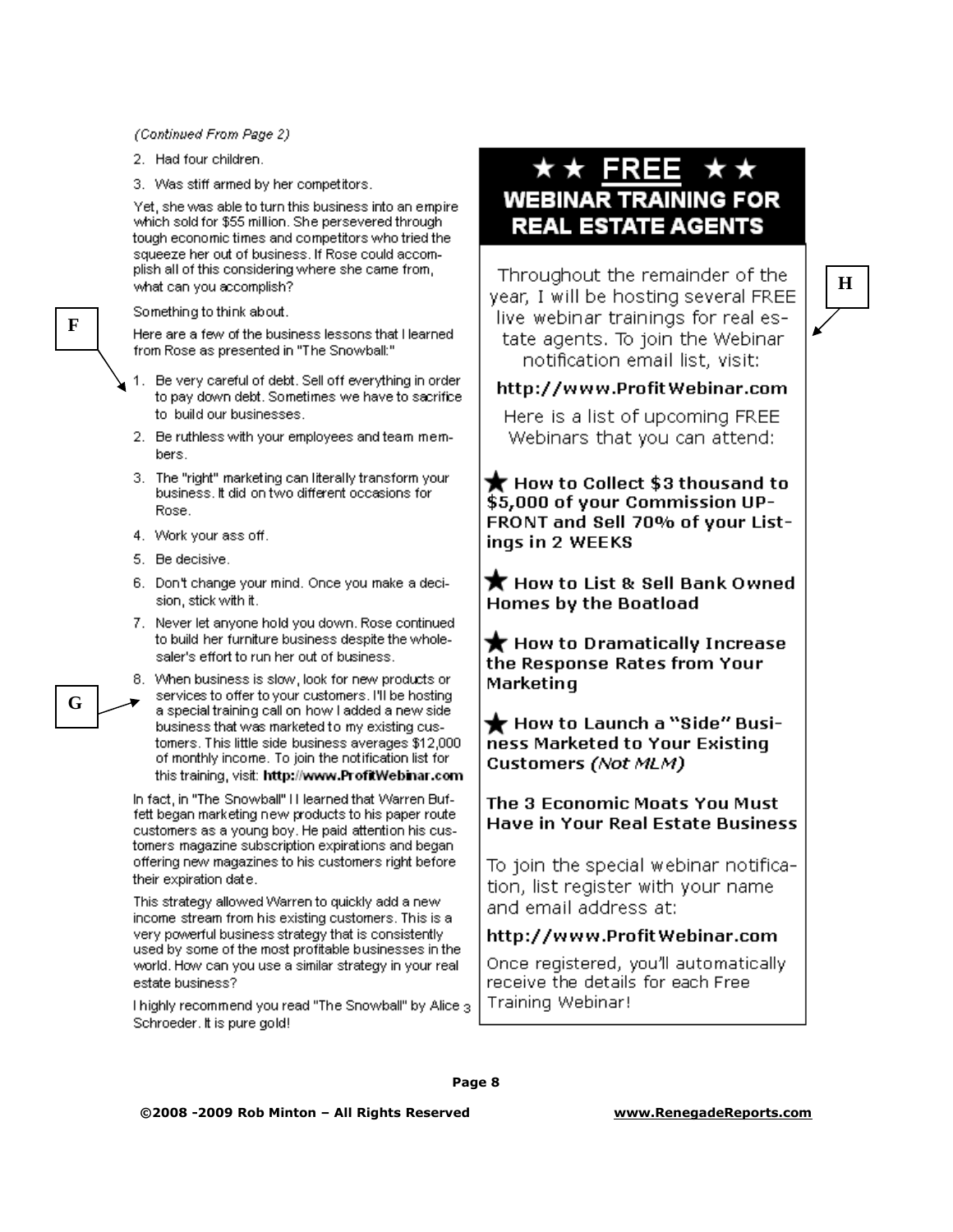#### (Continued From Page 2)

2. Had four children.

3. Was stiff armed by her competitors.

Yet, she was able to turn this business into an empirewhich sold for \$55 million. She persevered through tough economic times and competitors who tried the squeeze her out of business. If Rose could accomplish all of this considering where she came from, what can you accomplish?

#### Something to think about.

Here are a few of the business lessons that I learned from Rose as presented in "The Snowball:"

- 1. Be very careful of debt. Sell off everything in order to pay down debt. Sometimes we have to sacrifice to build our businesses.
- 2. Be ruthless with your employees and team members.
- 3. The "right" marketing can literally transform your business. It did on two different occasions for Rose.
- 4. Work your ass off.
- 5. Be decisive.
- 6. Don't change your mind. Once you make a decision, stick with it.
- 7. Never let anyone hold you down. Rose continued to build her furniture business despite the wholesaler's effort to run her out of business.

8. When business is slow, look for new products or services to offer to your customers. I'll be hosting a special training call on how I added a new side business that was marketed to my existing customers. This little side business averages \$12,000. of monthly income. To join the notification list for this training, visit: http://www.ProfitWebinar.com

In fact, in "The Snowball" II learned that Warren Buffett began marketing new products to his paper route customers as a young boy. He paid attention his customers magazine subscription expirations and began offering new magazines to his customers right before their expiration date.

This strategy allowed Warren to quickly add a new income stream from his existing customers. This is a very powerful business strategy that is consistently used by some of the most profitable businesses in the world. How can you use a similar strategy in your real estate business?

I highly recommend you read "The Snowball" by Alice 3 Schroeder, it is pure gold!

### $\star\star$  FREE **WEBINAR TRAINING FOR REAL ESTATE AGENTS**

Throughout the remainder of the year, I will be hosting several FREE live webinar trainings for real estate agents. To join the Webinar notification email list, visit:

 $H$ 

#### http://www.ProfitWebinar.com

Here is a list of upcoming FREE Webinars that you can attend:

 $\bigstar$  How to Collect \$3 thousand to \$5,000 of your Commission UP-FRONT and Sell 70% of your Listings in 2 WEEKS

 $\bigstar$  How to List & Sell Bank Owned **Homes by the Boatload** 

 $\bigstar$  How to Dramatically Increase the Response Rates from Your Marketing

 $\bigstar$  How to Launch a "Side" Business Marketed to Your Existing Customers (Not MLM)

#### The 3 Economic Moats You Must **Have in Your Real Estate Business**

To join the special webinar notification, list register with your name and email address at:

#### http://www.ProfitWebinar.com

Once registered, you'll automatically receive the details for each Free Training Webinar!

Page 8

 $\mathbf F$ 

G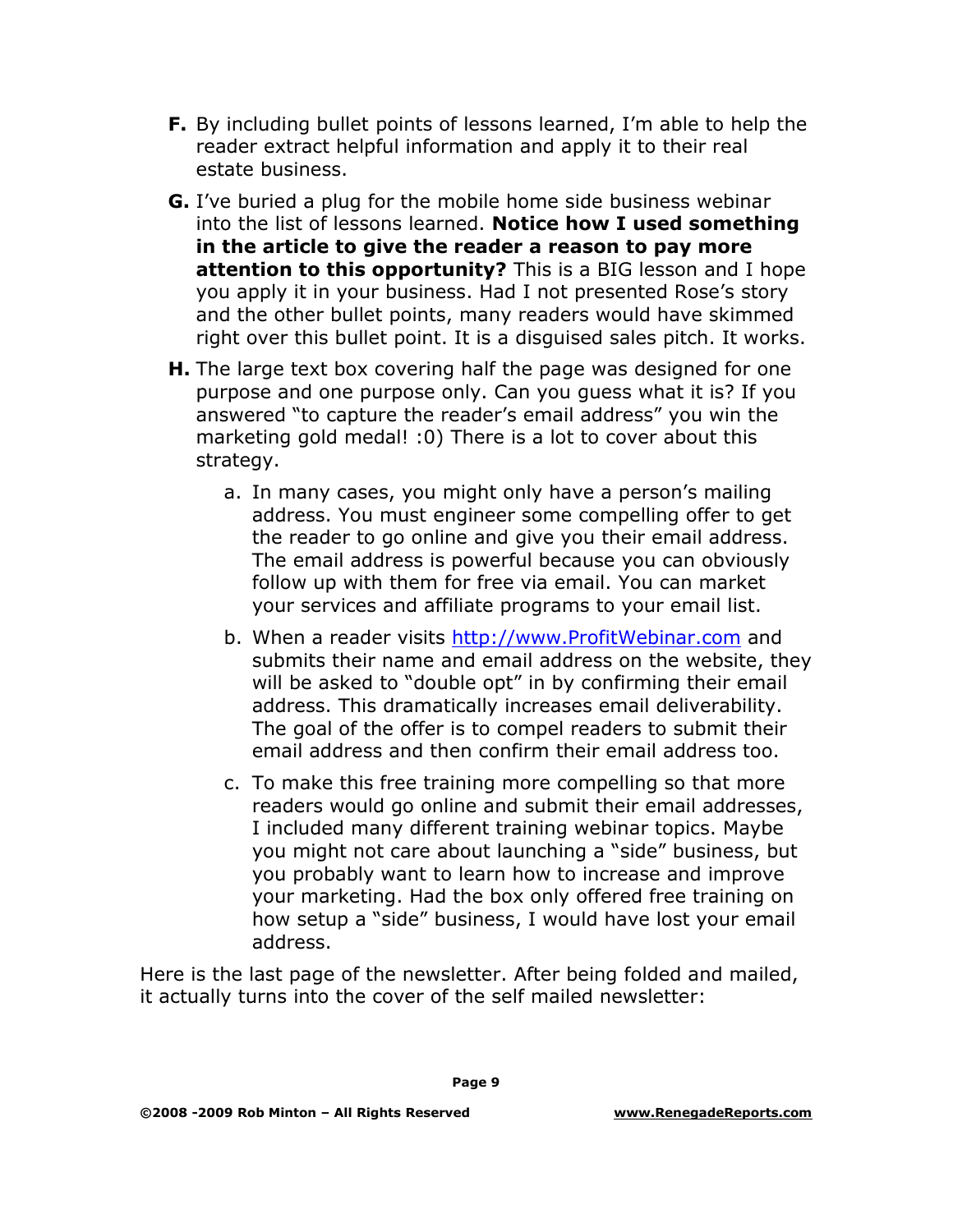- **F.** By including bullet points of lessons learned, I'm able to help the reader extract helpful information and apply it to their real estate business.
- **G.** I've buried a plug for the mobile home side business webinar into the list of lessons learned. **Notice how I used something in the article to give the reader a reason to pay more attention to this opportunity?** This is a BIG lesson and I hope you apply it in your business. Had I not presented Rose's story and the other bullet points, many readers would have skimmed right over this bullet point. It is a disguised sales pitch. It works.
- **H.** The large text box covering half the page was designed for one purpose and one purpose only. Can you guess what it is? If you answered "to capture the reader's email address" you win the marketing gold medal! :0) There is a lot to cover about this strategy.
	- a. In many cases, you might only have a person's mailing address. You must engineer some compelling offer to get the reader to go online and give you their email address. The email address is powerful because you can obviously follow up with them for free via email. You can market your services and affiliate programs to your email list.
	- b. When a reader visits [http://www.ProfitWebinar.com](http://www.profitwebinar.com/) and submits their name and email address on the website, they will be asked to "double opt" in by confirming their email address. This dramatically increases email deliverability. The goal of the offer is to compel readers to submit their email address and then confirm their email address too.
	- c. To make this free training more compelling so that more readers would go online and submit their email addresses, I included many different training webinar topics. Maybe you might not care about launching a "side" business, but you probably want to learn how to increase and improve your marketing. Had the box only offered free training on how setup a "side" business, I would have lost your email address.

Here is the last page of the newsletter. After being folded and mailed, it actually turns into the cover of the self mailed newsletter: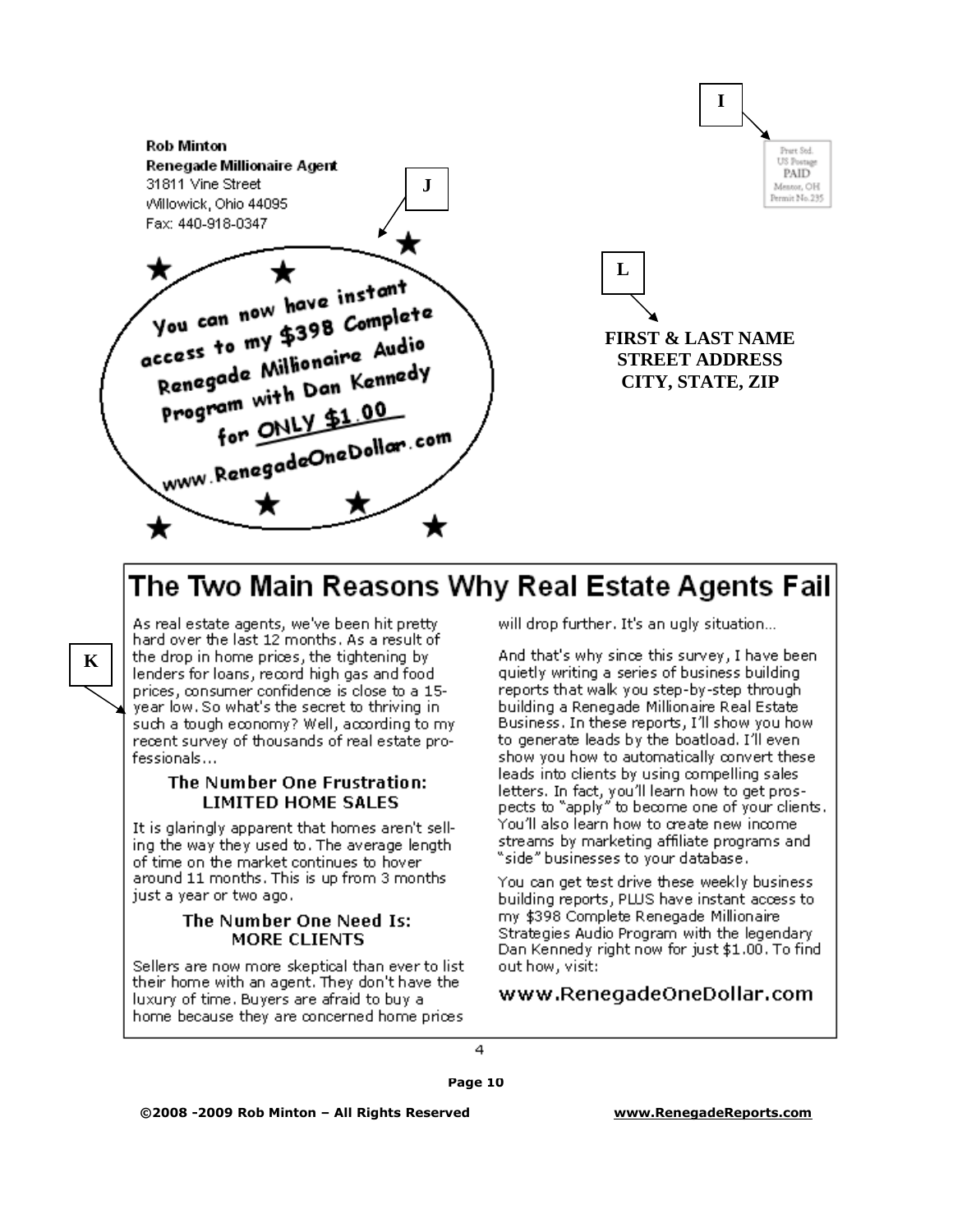

### The Two Main Reasons Why Real Estate Agents Fail

As real estate agents, we've been hit pretty hard over the last 12 months. As a result of the drop in home prices, the tightening by lenders for loans, record high gas and food prices, consumer confidence is close to a 15year low. So what's the secret to thriving in such a tough economy? Well, according to my recent survey of thousands of real estate pro $f$ essionals $\dots$ 

 $\mathbf{K}$ 

#### The Number One Frustration: **LIMITED HOME SALES**

It is glaringly apparent that homes aren't selling the way they used to. The average length of time on the market continues to hover around 11 months. This is up from 3 months. just a year or two ago.

#### The Number One Need Is: **MORE CLIENTS**

Sellers are now more skeptical than ever to list their home with an agent. They don't have the luxury of time. Buyers are afraid to buy a home because they are concerned home prices

will drop further. It's an ugly situation...

And that's why since this survey, I have beenquietly writing a series of business building. reports that walk you step-by-step through building a Renegade Millionaire Real Estate. Business. In these reports, I'll show you how to generate leads by the boatload. I'll even show you how to automatically convert these. leads into clients by using compelling sales. letters. In fact, you'll learn how to get prospects to "apply" to become one of your clients. You'll also learn how to create new income. streams by marketing affiliate programs and "side" businesses to vour database.

You can get test drive these weekly business building reports, PLUS have instant access to my \$398 Complete Renegade Millionaire Strategies Audio Program with the legendary Dan Kennedy right now for just \$1.00. To find out how, visit:

#### www.RenegadeOneDollar.com

4

Page 10

©2008 -2009 Rob Minton - All Rights Reserved

www.RenegadeReports.com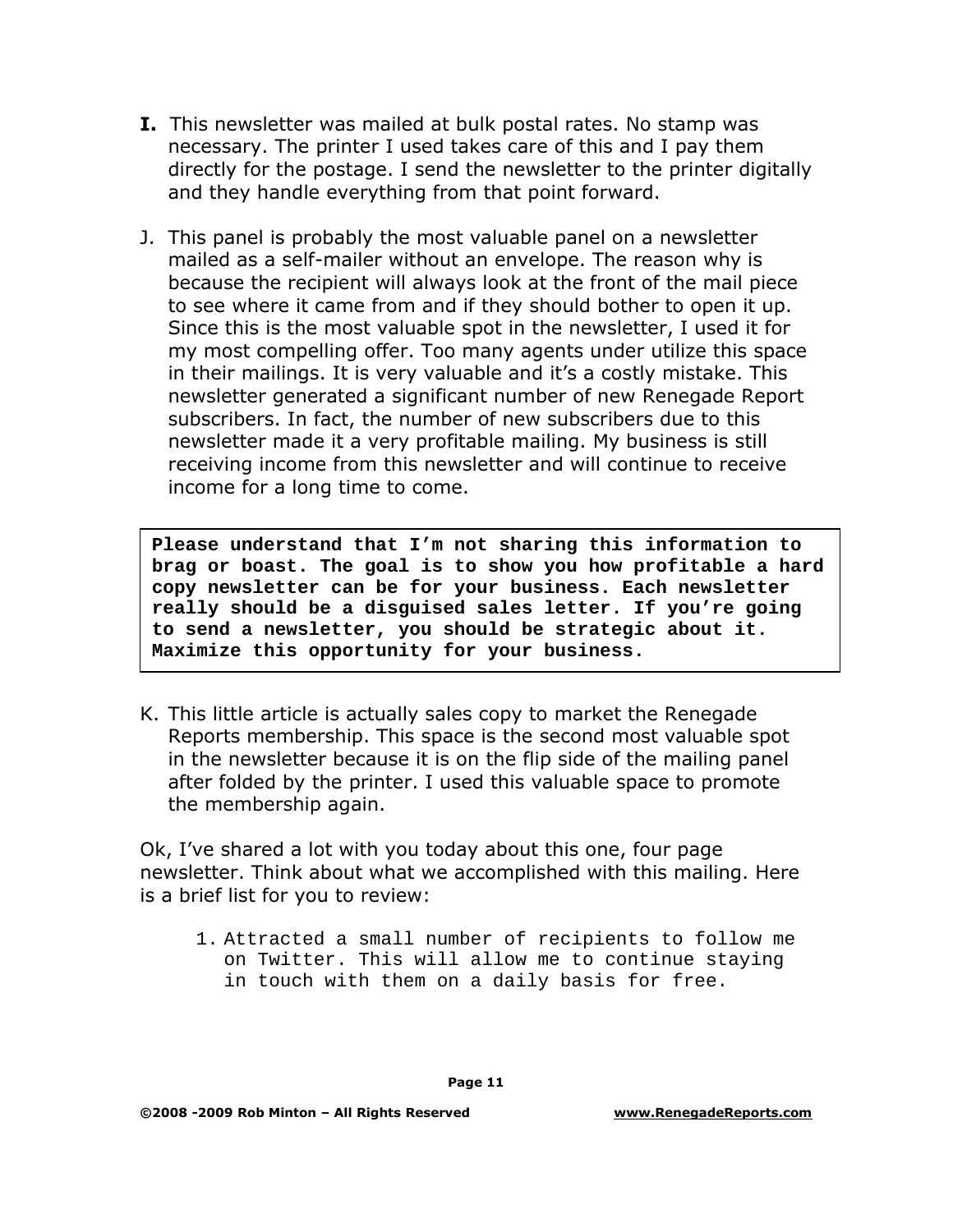- **I.** This newsletter was mailed at bulk postal rates. No stamp was necessary. The printer I used takes care of this and I pay them directly for the postage. I send the newsletter to the printer digitally and they handle everything from that point forward.
- J. This panel is probably the most valuable panel on a newsletter mailed as a self-mailer without an envelope. The reason why is because the recipient will always look at the front of the mail piece to see where it came from and if they should bother to open it up. Since this is the most valuable spot in the newsletter, I used it for my most compelling offer. Too many agents under utilize this space in their mailings. It is very valuable and it's a costly mistake. This newsletter generated a significant number of new Renegade Report subscribers. In fact, the number of new subscribers due to this newsletter made it a very profitable mailing. My business is still receiving income from this newsletter and will continue to receive income for a long time to come.

**Please understand that I'm not sharing this information to brag or boast. The goal is to show you how profitable a hard copy newsletter can be for your business. Each newsletter really should be a disguised sales letter. If you're going to send a newsletter, you should be strategic about it. Maximize this opportunity for your business.**

K. This little article is actually sales copy to market the Renegade Reports membership. This space is the second most valuable spot in the newsletter because it is on the flip side of the mailing panel after folded by the printer. I used this valuable space to promote the membership again.

Ok, I've shared a lot with you today about this one, four page newsletter. Think about what we accomplished with this mailing. Here is a brief list for you to review:

1. Attracted a small number of recipients to follow me on Twitter. This will allow me to continue staying in touch with them on a daily basis for free.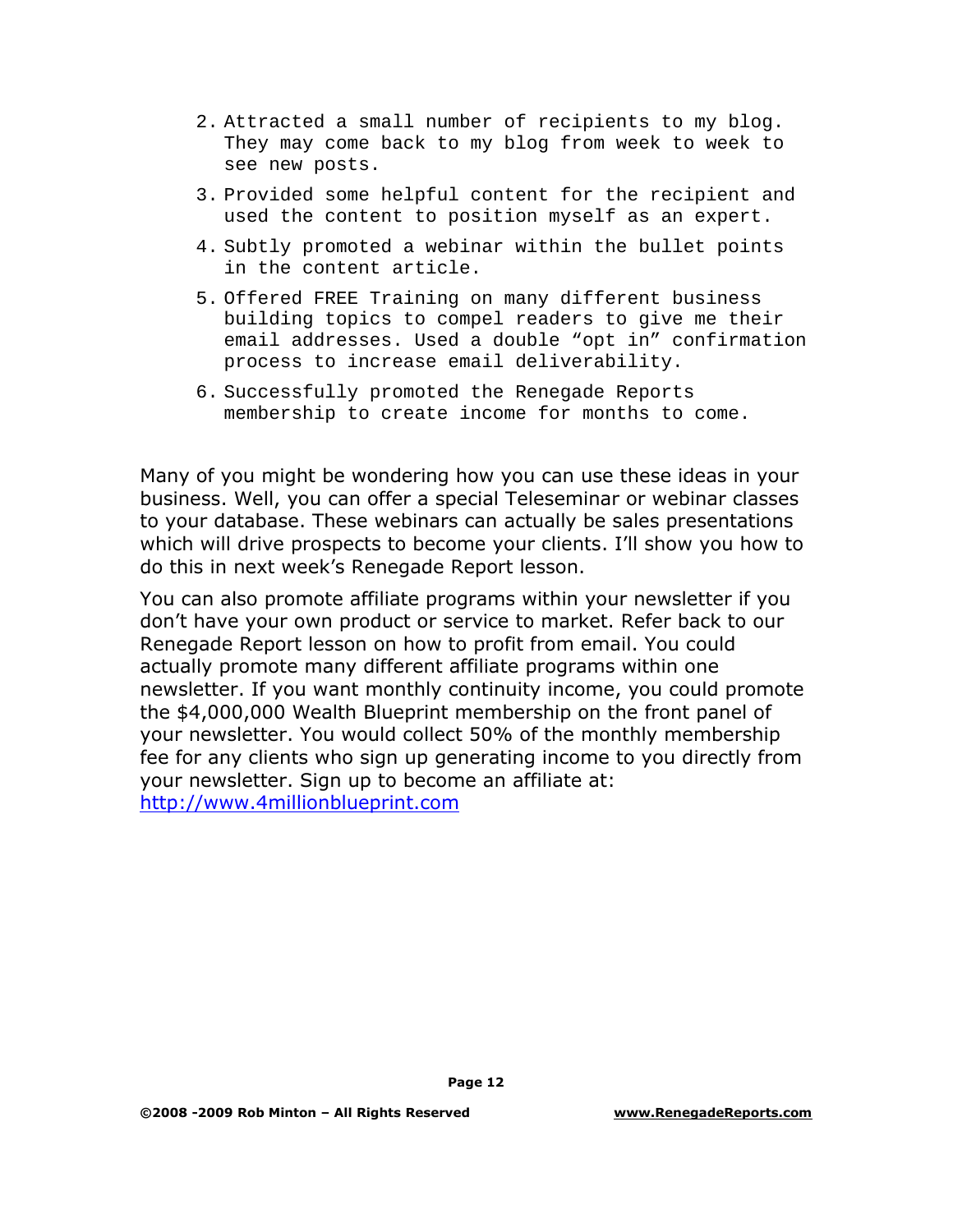- 2. Attracted a small number of recipients to my blog. They may come back to my blog from week to week to see new posts.
- 3. Provided some helpful content for the recipient and used the content to position myself as an expert.
- 4. Subtly promoted a webinar within the bullet points in the content article.
- 5. Offered FREE Training on many different business building topics to compel readers to give me their email addresses. Used a double "opt in" confirmation process to increase email deliverability.
- 6. Successfully promoted the Renegade Reports membership to create income for months to come.

Many of you might be wondering how you can use these ideas in your business. Well, you can offer a special Teleseminar or webinar classes to your database. These webinars can actually be sales presentations which will drive prospects to become your clients. I'll show you how to do this in next week's Renegade Report lesson.

You can also promote affiliate programs within your newsletter if you don't have your own product or service to market. Refer back to our Renegade Report lesson on how to profit from email. You could actually promote many different affiliate programs within one newsletter. If you want monthly continuity income, you could promote the \$4,000,000 Wealth Blueprint membership on the front panel of your newsletter. You would collect 50% of the monthly membership fee for any clients who sign up generating income to you directly from your newsletter. Sign up to become an affiliate at: [http://www.4millionblueprint.com](http://www.4millionblueprint.com/)